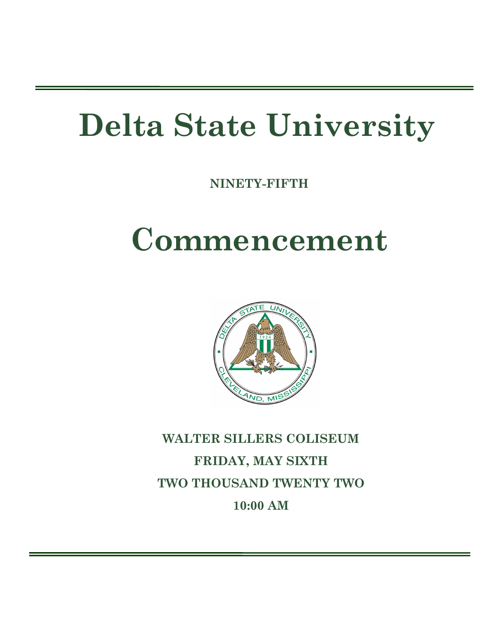# **Delta State University**

**NINETY-FIFTH** 

# **Commencement**



**WALTER SILLERS COLISEUM FRIDAY, MAY SIXTH TWO THOUSAND TWENTY TWO 10:00 AM**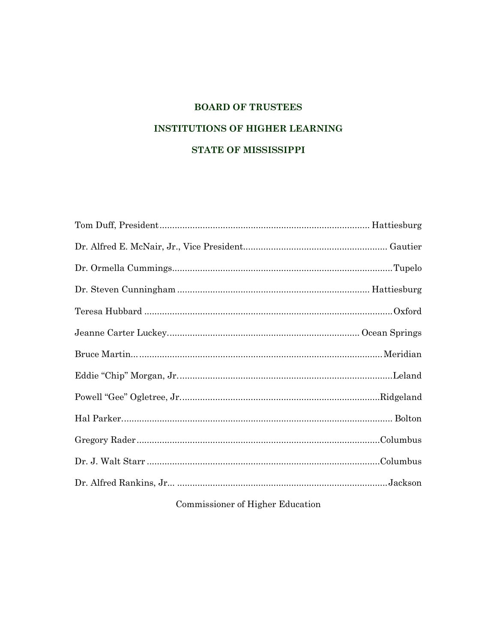# **BOARD OF TRUSTEES INSTITUTIONS OF HIGHER LEARNING** STATE OF MISSISSIPPI

# Commissioner of Higher Education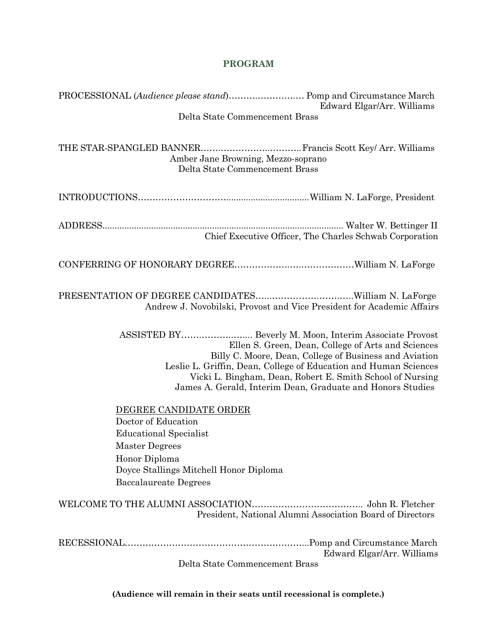# **PROGRAM**

| PROCESSIONAL (Audience please stand) Pomp and Circumstance March<br>Edward Elgar/Arr. Williams                                                                                                                                                                                                                                                                        |
|-----------------------------------------------------------------------------------------------------------------------------------------------------------------------------------------------------------------------------------------------------------------------------------------------------------------------------------------------------------------------|
| Delta State Commencement Brass                                                                                                                                                                                                                                                                                                                                        |
| Amber Jane Browning, Mezzo-soprano<br>Delta State Commencement Brass                                                                                                                                                                                                                                                                                                  |
|                                                                                                                                                                                                                                                                                                                                                                       |
| Chief Executive Officer, The Charles Schwab Corporation                                                                                                                                                                                                                                                                                                               |
|                                                                                                                                                                                                                                                                                                                                                                       |
| Andrew J. Novobilski, Provost and Vice President for Academic Affairs                                                                                                                                                                                                                                                                                                 |
| ASSISTED BY Beverly M. Moon, Interim Associate Provost<br>Ellen S. Green, Dean, College of Arts and Sciences<br>Billy C. Moore, Dean, College of Business and Aviation<br>Leslie L. Griffin, Dean, College of Education and Human Sciences<br>Vicki L. Bingham, Dean, Robert E. Smith School of Nursing<br>James A. Gerald, Interim Dean, Graduate and Honors Studies |
| DEGREE CANDIDATE ORDER<br>Doctor of Education<br>Educational Specialist<br><b>Master Degrees</b><br>Honor Diploma<br>Doyce Stallings Mitchell Honor Diploma<br><b>Baccalaureate Degrees</b>                                                                                                                                                                           |
| President, National Alumni Association Board of Directors                                                                                                                                                                                                                                                                                                             |
| Edward Elgar/Arr. Williams<br>Delta State Commencement Brass                                                                                                                                                                                                                                                                                                          |

**(Audience will remain in their seats until recessional is complete.)**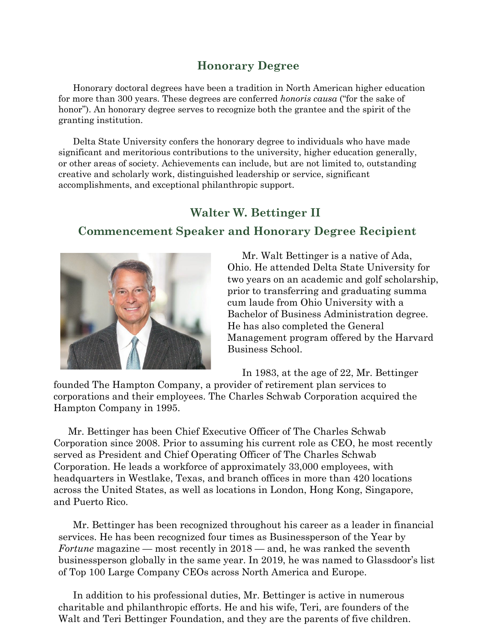# **Honorary Degree**

Honorary doctoral degrees have been a tradition in North American higher education for more than 300 years. These degrees are conferred *honoris causa* ("for the sake of honor"). An honorary degree serves to recognize both the grantee and the spirit of the granting institution.

Delta State University confers the honorary degree to individuals who have made significant and meritorious contributions to the university, higher education generally, or other areas of society. Achievements can include, but are not limited to, outstanding creative and scholarly work, distinguished leadership or service, significant accomplishments, and exceptional philanthropic support.

# **Walter W. Bettinger II**

# **Commencement Speaker and Honorary Degree Recipient**



Mr. Walt Bettinger is a native of Ada, Ohio. He attended Delta State University for two years on an academic and golf scholarship, prior to transferring and graduating summa cum laude from Ohio University with a Bachelor of Business Administration degree. He has also completed the General Management program offered by the Harvard Business School.

In 1983, at the age of 22, Mr. Bettinger

founded The Hampton Company, a provider of retirement plan services to corporations and their employees. The Charles Schwab Corporation acquired the Hampton Company in 1995.

Mr. Bettinger has been Chief Executive Officer of The Charles Schwab Corporation since 2008. Prior to assuming his current role as CEO, he most recently served as President and Chief Operating Officer of The Charles Schwab Corporation. He leads a workforce of approximately 33,000 employees, with headquarters in Westlake, Texas, and branch offices in more than 420 locations across the United States, as well as locations in London, Hong Kong, Singapore, and Puerto Rico.

Mr. Bettinger has been recognized throughout his career as a leader in financial services. He has been recognized four times as Businessperson of the Year by *Fortune* magazine — most recently in 2018 — and, he was ranked the seventh businessperson globally in the same year. In 2019, he was named to Glassdoor's list of Top 100 Large Company CEOs across North America and Europe.

In addition to his professional duties, Mr. Bettinger is active in numerous charitable and philanthropic efforts. He and his wife, Teri, are founders of the Walt and Teri Bettinger Foundation, and they are the parents of five children.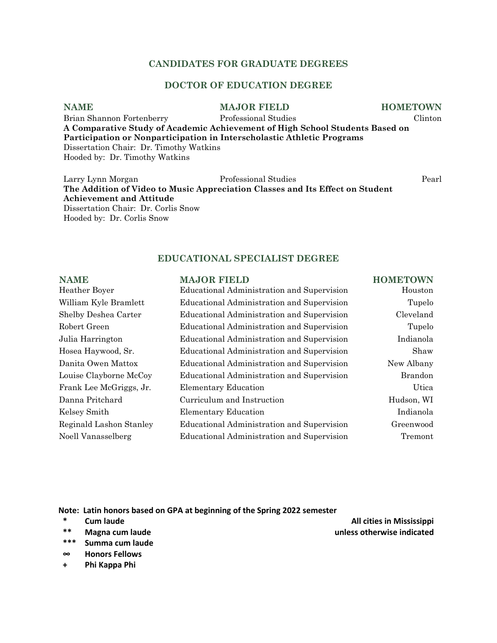# **CANDIDATES FOR GRADUATE DEGREES**

# **DOCTOR OF EDUCATION DEGREE**

# **NAME MAJOR FIELD HOMETOWN**

Brian Shannon Fortenberry Professional Studies Clinton **A Comparative Study of Academic Achievement of High School Students Based on Participation or Nonparticipation in Interscholastic Athletic Programs** Dissertation Chair: Dr. Timothy Watkins Hooded by: Dr. Timothy Watkins

Larry Lynn Morgan Professional Studies Pearl **The Addition of Video to Music Appreciation Classes and Its Effect on Student Achievement and Attitude** Dissertation Chair: Dr. Corlis Snow Hooded by: Dr. Corlis Snow

### **EDUCATIONAL SPECIALIST DEGREE**

| <b>NAME</b>             | <b>MAJOR FIELD</b>                         | <b>HOMETOWN</b> |
|-------------------------|--------------------------------------------|-----------------|
| Heather Boyer           | Educational Administration and Supervision | Houston         |
| William Kyle Bramlett   | Educational Administration and Supervision | Tupelo          |
| Shelby Deshea Carter    | Educational Administration and Supervision | Cleveland       |
| Robert Green            | Educational Administration and Supervision | Tupelo          |
| Julia Harrington        | Educational Administration and Supervision | Indianola       |
| Hosea Haywood, Sr.      | Educational Administration and Supervision | Shaw            |
| Danita Owen Mattox      | Educational Administration and Supervision | New Albany      |
| Louise Clayborne McCoy  | Educational Administration and Supervision | <b>Brandon</b>  |
| Frank Lee McGriggs, Jr. | <b>Elementary Education</b>                | Utica           |
| Danna Pritchard         | Curriculum and Instruction                 | Hudson, WI      |
| Kelsey Smith            | <b>Elementary Education</b>                | Indianola       |
| Reginald Lashon Stanley | Educational Administration and Supervision | Greenwood       |
| Noell Vanasselberg      | Educational Administration and Supervision | Tremont         |
|                         |                                            |                 |

**Note: Latin honors based on GPA at beginning of the Spring 2022 semester**

- 
- 
- **\*\*\* Summa cum laude**
- **∞ Honors Fellows**
- **+ Phi Kappa Phi**

**\* Cum laude All cities in Mississippi \*\* Magna cum laude unless otherwise indicated**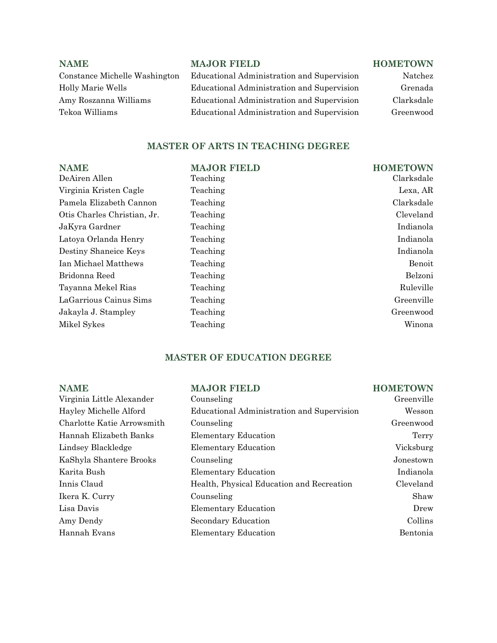# **NAME MAJOR FIELD HOMETOWN**

# Constance Michelle Washington Educational Administration and Supervision Natchez Holly Marie Wells Educational Administration and Supervision Grenada Amy Roszanna Williams Educational Administration and Supervision Clarksdale Tekoa Williams Educational Administration and Supervision Greenwood

# **MASTER OF ARTS IN TEACHING DEGREE**

| <b>NAME</b>                 | <b>MAJOR FIELD</b> | <b>HOMETOWN</b> |
|-----------------------------|--------------------|-----------------|
| DeAiren Allen               | Teaching           | Clarksdale      |
| Virginia Kristen Cagle      | Teaching           | Lexa, AR        |
| Pamela Elizabeth Cannon     | Teaching           | Clarksdale      |
| Otis Charles Christian, Jr. | Teaching           | Cleveland       |
| JaKyra Gardner              | Teaching           | Indianola       |
| Latoya Orlanda Henry        | Teaching           | Indianola       |
| Destiny Shaneice Keys       | Teaching           | Indianola       |
| Ian Michael Matthews        | Teaching           | Benoit          |
| Bridonna Reed               | Teaching           | Belzoni         |
| Tayanna Mekel Rias          | Teaching           | Ruleville       |
| LaGarrious Cainus Sims      | Teaching           | Greenville      |
| Jakayla J. Stampley         | Teaching           | Greenwood       |
| Mikel Sykes                 | Teaching           | Winona          |

# **MASTER OF EDUCATION DEGREE**

| <b>NAME</b>                              | <b>MAJOR FIELD</b>                         | <b>HOMETOWN</b> |
|------------------------------------------|--------------------------------------------|-----------------|
| Virginia Little Alexander<br>Counseling  |                                            | Greenville      |
| Hayley Michelle Alford                   | Educational Administration and Supervision | Wesson          |
| Charlotte Katie Arrowsmith<br>Counseling |                                            | Greenwood       |
| Hannah Elizabeth Banks                   | <b>Elementary Education</b>                | Terry           |
| Lindsey Blackledge                       | <b>Elementary Education</b>                | Vicksburg       |
| KaShyla Shantere Brooks<br>Counseling    |                                            | Jonestown       |
| Karita Bush                              | <b>Elementary Education</b>                | Indianola       |
| Innis Claud                              | Health, Physical Education and Recreation  | Cleveland       |
| Ikera K. Curry<br>Counseling             |                                            | Shaw            |
| Lisa Davis                               | <b>Elementary Education</b>                | Drew            |
| Amy Dendy                                | Secondary Education                        | Collins         |
| Hannah Evans                             | <b>Elementary Education</b>                | Bentonia        |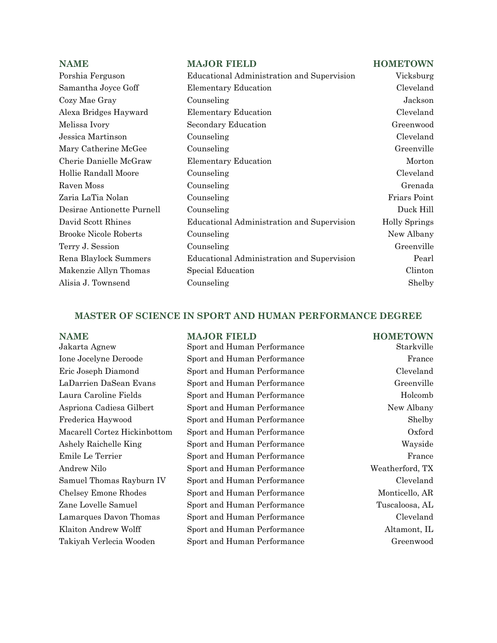| <b>NAME</b>                  | <b>MAJOR FIELD</b>                         | <b>HOMETOWN</b>      |
|------------------------------|--------------------------------------------|----------------------|
| Porshia Ferguson             | Educational Administration and Supervision | Vicksburg            |
| Samantha Joyce Goff          | <b>Elementary Education</b>                | Cleveland            |
| Cozy Mae Gray                | Counseling                                 | Jackson              |
| Alexa Bridges Hayward        | <b>Elementary Education</b>                | Cleveland            |
| Melissa Ivory                | Secondary Education                        | Greenwood            |
| Jessica Martinson            | Counseling                                 | Cleveland            |
| Mary Catherine McGee         | Counseling                                 | Greenville           |
| Cherie Danielle McGraw       | <b>Elementary Education</b>                | Morton               |
| Hollie Randall Moore         | Counseling                                 | Cleveland            |
| Raven Moss                   | Counseling                                 | Grenada              |
| Zaria LaTia Nolan            | Counseling                                 | Friars Point         |
| Desirae Antionette Purnell   | Counseling                                 | Duck Hill            |
| David Scott Rhines           | Educational Administration and Supervision | <b>Holly Springs</b> |
| <b>Brooke Nicole Roberts</b> | Counseling                                 | New Albany           |
| Terry J. Session             | Counseling                                 | Greenville           |
| Rena Blaylock Summers        | Educational Administration and Supervision | Pearl                |
| Makenzie Allyn Thomas        | Special Education                          | Clinton              |
| Alisia J. Townsend           | Counseling                                 | Shelby               |

# **MASTER OF SCIENCE IN SPORT AND HUMAN PERFORMANCE DEGREE**

| <b>NAME</b>                  | <b>MAJOR FIELD</b>          | <b>HOMETOWN</b> |
|------------------------------|-----------------------------|-----------------|
| Jakarta Agnew                | Sport and Human Performance | Starkville      |
| Ione Jocelyne Deroode        | Sport and Human Performance | France          |
| Eric Joseph Diamond          | Sport and Human Performance | Cleveland       |
| LaDarrien DaSean Evans       | Sport and Human Performance | Greenville      |
| Laura Caroline Fields        | Sport and Human Performance | Holcomb         |
| Aspriona Cadiesa Gilbert     | Sport and Human Performance | New Albany      |
| Frederica Haywood            | Sport and Human Performance | Shelby          |
| Macarell Cortez Hickinbottom | Sport and Human Performance | Oxford          |
| Ashely Raichelle King        | Sport and Human Performance | Wayside         |
| Emile Le Terrier             | Sport and Human Performance | France          |
| Andrew Nilo                  | Sport and Human Performance | Weatherford, TX |
| Samuel Thomas Rayburn IV     | Sport and Human Performance | Cleveland       |
| Chelsey Emone Rhodes         | Sport and Human Performance | Monticello, AR  |
| Zane Lovelle Samuel          | Sport and Human Performance | Tuscaloosa, AL  |
| Lamarques Davon Thomas       | Sport and Human Performance | Cleveland       |
| Klaiton Andrew Wolff         | Sport and Human Performance | Altamont, IL    |
| Takiyah Verlecia Wooden      | Sport and Human Performance | Greenwood       |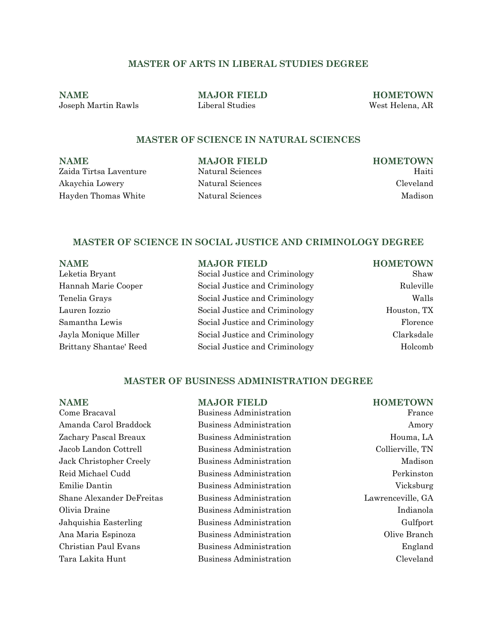# **MASTER OF ARTS IN LIBERAL STUDIES DEGREE**

**NAME MAJOR FIELD HOMETOWN** Joseph Martin Rawls Liberal Studies West Helena, AR

# **MASTER OF SCIENCE IN NATURAL SCIENCES**

**NAME MAJOR FIELD HOMETOWN** Zaida Tirtsa Laventure Natural Sciences Haiti Akaychia Lowery Natural Sciences Cleveland Hayden Thomas White Natural Sciences Madison

# **MASTER OF SCIENCE IN SOCIAL JUSTICE AND CRIMINOLOGY DEGREE**

| <b>NAME</b>            | <b>MAJOR FIELD</b>             | <b>HOMETOWN</b> |
|------------------------|--------------------------------|-----------------|
| Leketia Bryant         | Social Justice and Criminology | Shaw            |
| Hannah Marie Cooper    | Social Justice and Criminology | Ruleville       |
| Tenelia Grays          | Social Justice and Criminology | Walls           |
| Lauren Iozzio          | Social Justice and Criminology | Houston, TX     |
| Samantha Lewis         | Social Justice and Criminology | Florence        |
| Jayla Monique Miller   | Social Justice and Criminology | Clarksdale      |
| Brittany Shantae' Reed | Social Justice and Criminology | Holcomb         |

# **MASTER OF BUSINESS ADMINISTRATION DEGREE**

| <b>NAME</b>               | <b>MAJOR FIELD</b>             | <b>HOMETOWN</b>   |
|---------------------------|--------------------------------|-------------------|
| Come Bracaval             | Business Administration        | France            |
| Amanda Carol Braddock     | <b>Business Administration</b> | Amory             |
| Zachary Pascal Breaux     | Business Administration        | Houma, LA         |
| Jacob Landon Cottrell     | Business Administration        | Collierville, TN  |
| Jack Christopher Creely   | <b>Business Administration</b> | Madison           |
| Reid Michael Cudd         | Business Administration        | Perkinston        |
| Emilie Dantin             | <b>Business Administration</b> | Vicksburg         |
| Shane Alexander DeFreitas | Business Administration        | Lawrenceville, GA |
| Olivia Draine             | Business Administration        | Indianola         |
| Jahquishia Easterling     | <b>Business Administration</b> | Gulfport          |
| Ana Maria Espinoza        | Business Administration        | Olive Branch      |
| Christian Paul Evans      | Business Administration        | England           |
| Tara Lakita Hunt          | Business Administration        | Cleveland         |
|                           |                                |                   |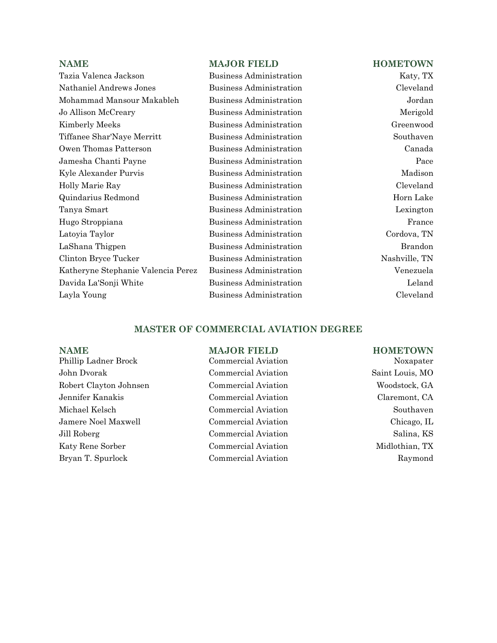Tazia Valenca Jackson Business Administration Katy, TX Nathaniel Andrews Jones Business Administration Cleveland Mohammad Mansour Makableh Business Administration Jordan Jo Allison McCreary Business Administration Merigold Kimberly Meeks **Business Administration** Greenwood Tiffanee Shar'Naye Merritt Business Administration Southaven Owen Thomas Patterson Business Administration Canada Jamesha Chanti Payne Business Administration Pace Kyle Alexander Purvis **Business Administration** Madison Holly Marie Ray Business Administration Cleveland Quindarius Redmond Business Administration Horn Lake Tanya Smart Business Administration Lexington Hugo Stroppiana Business Administration France Latoyia Taylor Business Administration Cordova, TN LaShana Thigpen Business Administration Brandon Clinton Bryce Tucker Business Administration Nashville, TN Katheryne Stephanie Valencia Perez Business Administration Venezuela Davida La'Sonji White Business Administration Leland Layla Young Business Administration Cleveland

### **NAME MAJOR FIELD HOMETOWN**

# **MASTER OF COMMERCIAL AVIATION DEGREE**

- Phillip Ladner Brock Commercial Aviation Noxapater John Dvorak Commercial Aviation Saint Louis, MO Robert Clayton Johnsen Commercial Aviation Woodstock, GA Jennifer Kanakis Commercial Aviation Claremont, CA Michael Kelsch Commercial Aviation Southaven Jamere Noel Maxwell Commercial Aviation Chicago, IL Jill Roberg Commercial Aviation Salina, KS Katy Rene Sorber Commercial Aviation Midlothian, TX Bryan T. Spurlock Commercial Aviation Raymond
- 

### **NAME MAJOR FIELD HOMETOWN**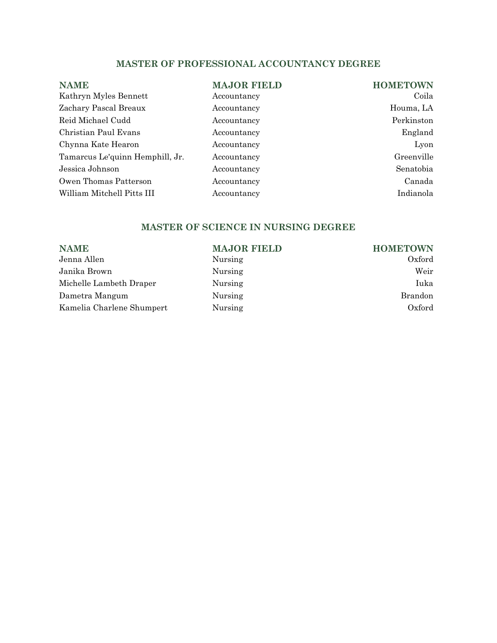# **MASTER OF PROFESSIONAL ACCOUNTANCY DEGREE**

| <b>NAME</b>                     | <b>MAJOR FIELD</b> | <b>HOMETOWN</b> |
|---------------------------------|--------------------|-----------------|
| Kathryn Myles Bennett           | Accountancy        | Coila           |
| Zachary Pascal Breaux           | Accountancy        | Houma, LA       |
| Reid Michael Cudd               | Accountancy        | Perkinston      |
| Christian Paul Evans            | Accountancy        | England         |
| Chynna Kate Hearon              | Accountancy        | Lyon            |
| Tamarcus Le'quinn Hemphill, Jr. | Accountancy        | Greenville      |
| Jessica Johnson                 | Accountancy        | Senatobia       |
| Owen Thomas Patterson           | Accountancy        | Canada          |
| William Mitchell Pitts III      | Accountancy        | Indianola       |

# **MASTER OF SCIENCE IN NURSING DEGREE**

| <b>MAJOR FIELD</b> | <b>HOMETOWN</b> |
|--------------------|-----------------|
| Nursing            | Oxford          |
| Nursing            | Weir            |
| Nursing            | Iuka            |
| Nursing            | <b>Brandon</b>  |
| Nursing            | Oxford          |
|                    |                 |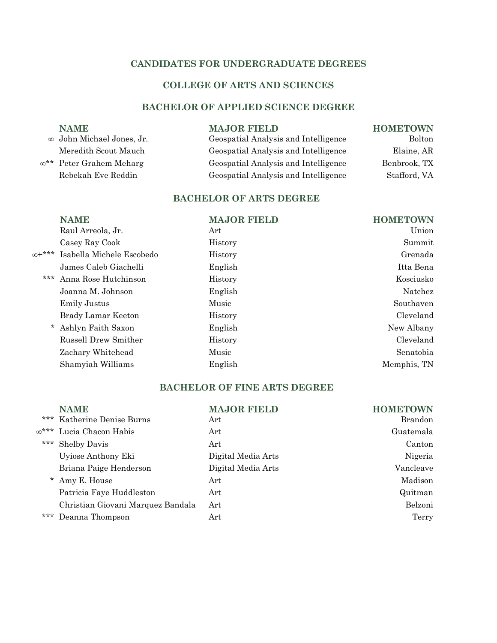# **CANDIDATES FOR UNDERGRADUATE DEGREES**

# **COLLEGE OF ARTS AND SCIENCES**

# **BACHELOR OF APPLIED SCIENCE DEGREE**

| <b>NAME</b>               | <b>MAJOR FIELD</b>                   | <b>HOMETOWN</b> |
|---------------------------|--------------------------------------|-----------------|
| ∞ John Michael Jones, Jr. | Geospatial Analysis and Intelligence | <b>Bolton</b>   |
| Meredith Scout Mauch      | Geospatial Analysis and Intelligence | Elaine, AR      |
| ∞** Peter Grahem Meharg   | Geospatial Analysis and Intelligence | Benbrook, TX    |
| Rebekah Eve Reddin        | Geospatial Analysis and Intelligence | Stafford, VA    |
|                           |                                      |                 |

# **BACHELOR OF ARTS DEGREE**

|             | <b>NAME</b>               | <b>MAJOR FIELD</b> | <b>HOMETOWN</b> |
|-------------|---------------------------|--------------------|-----------------|
|             | Raul Arreola, Jr.         | Art                | Union           |
|             | Casey Ray Cook            | History            | Summit          |
| $x^{n+***}$ | Isabella Michele Escobedo | History            | Grenada         |
|             | James Caleb Giachelli     | English            | Itta Bena       |
| ***         | Anna Rose Hutchinson      | History            | Kosciusko       |
|             | Joanna M. Johnson         | English            | Natchez         |
|             | Emily Justus              | Music              | Southaven       |
|             | Brady Lamar Keeton        | History            | Cleveland       |
| $\star$     | Ashlyn Faith Saxon        | English            | New Albany      |
|             | Russell Drew Smither      | History            | Cleveland       |
|             | Zachary Whitehead         | Music              | Senatobia       |
|             | Shamyiah Williams         | English            | Memphis, TN     |
|             |                           |                    |                 |

# **BACHELOR OF FINE ARTS DEGREE**

| ***       | <b>NAME</b><br>Katherine Denise Burns | <b>MAJOR FIELD</b><br>Art | <b>HOMETOWN</b><br>Brandon |
|-----------|---------------------------------------|---------------------------|----------------------------|
| $x^{***}$ | Lucia Chacon Habis                    | Art                       | Guatemala                  |
| $***$     | <b>Shelby Davis</b>                   | Art                       | Canton                     |
|           | Uyiose Anthony Eki                    | Digital Media Arts        | Nigeria                    |
|           | Briana Paige Henderson                | Digital Media Arts        | Vancleave                  |
|           | Amy E. House                          | Art                       | Madison                    |
|           | Patricia Faye Huddleston              | Art                       | Quitman                    |
|           | Christian Giovani Marquez Bandala     | Art                       | Belzoni                    |
| $***$     | Deanna Thompson                       | Art                       | Terry                      |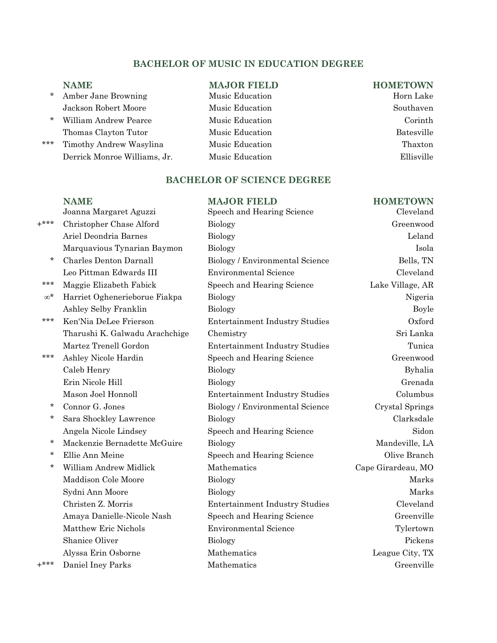# **BACHELOR OF MUSIC IN EDUCATION DEGREE**

- **NAME MAJOR FIELD HOMETOWN**<br>Amber Jane Browning **Music Education HOMETOWN Horn Lake** \* Amber Jane Browning Jackson Robert Moore Music Education Southaven
- \* William Andrew Pearce Music Education Corinth Thomas Clayton Tutor Music Education **Batesville**
- \*\*\* Timothy Andrew Wasylina Music Education Thaxton Derrick Monroe Williams, Jr. Music Education Ellisville

# **BACHELOR OF SCIENCE DEGREE**

|            | <b>NAME</b>                    | <b>MAJOR FIELD</b>                    | <b>HOMETOWN</b>    |
|------------|--------------------------------|---------------------------------------|--------------------|
|            | Joanna Margaret Aguzzi         | Speech and Hearing Science            | Cleveland          |
| $+***$     | Christopher Chase Alford       | <b>Biology</b>                        | Greenwood          |
|            | Ariel Deondria Barnes          | Biology                               | Leland             |
|            | Marquavious Tynarian Baymon    | <b>Biology</b>                        | Isola              |
| *          | Charles Denton Darnall         | Biology / Environmental Science       | Bells, TN          |
|            | Leo Pittman Edwards III        | <b>Environmental Science</b>          | Cleveland          |
| ***        | Maggie Elizabeth Fabick        | Speech and Hearing Science            | Lake Village, AR   |
| $\infty^*$ | Harriet Oghenerieborue Fiakpa  | <b>Biology</b>                        | Nigeria            |
|            | Ashley Selby Franklin          | Biology                               | Boyle              |
| ***        | Ken'Nia DeLee Frierson         | <b>Entertainment Industry Studies</b> | Oxford             |
|            | Tharushi K. Galwadu Arachchige | Chemistry                             | Sri Lanka          |
|            | Martez Trenell Gordon          | <b>Entertainment Industry Studies</b> | Tunica             |
| ***        | Ashley Nicole Hardin           | Speech and Hearing Science            | Greenwood          |
|            | Caleb Henry                    | <b>Biology</b>                        | Byhalia            |
|            | Erin Nicole Hill               | <b>Biology</b>                        | Grenada            |
|            | Mason Joel Honnoll             | <b>Entertainment Industry Studies</b> | Columbus           |
| *          | Connor G. Jones                | Biology / Environmental Science       | Crystal Springs    |
| *          | Sara Shockley Lawrence         | <b>Biology</b>                        | Clarksdale         |
|            | Angela Nicole Lindsey          | Speech and Hearing Science            | Sidon              |
| *          | Mackenzie Bernadette McGuire   | <b>Biology</b>                        | Mandeville, LA     |
| *          | Ellie Ann Meine                | Speech and Hearing Science            | Olive Branch       |
| *          | William Andrew Midlick         | Mathematics                           | Cape Girardeau, MO |
|            | Maddison Cole Moore            | <b>Biology</b>                        | Marks              |
|            | Sydni Ann Moore                | Biology                               | Marks              |
|            | Christen Z. Morris             | <b>Entertainment Industry Studies</b> | Cleveland          |
|            | Amaya Danielle-Nicole Nash     | Speech and Hearing Science            | Greenville         |
|            | Matthew Eric Nichols           | <b>Environmental Science</b>          | Tylertown          |
|            | <b>Shanice Oliver</b>          | <b>Biology</b>                        | Pickens            |
|            | Alyssa Erin Osborne            | Mathematics                           | League City, TX    |
| $+***$     | Daniel Iney Parks              | Mathematics                           | Greenville         |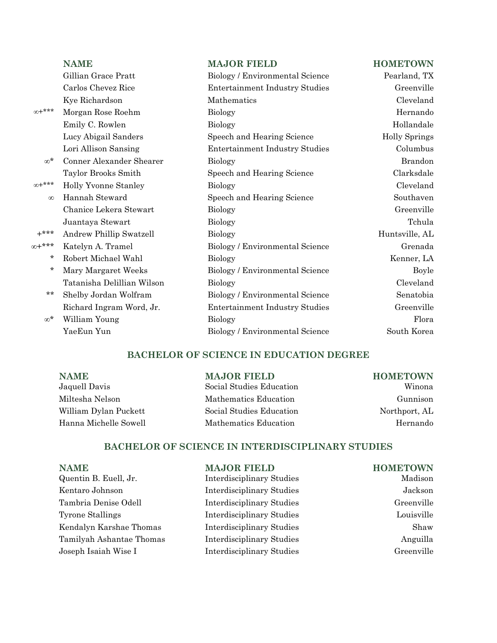|            | <b>NAME</b>                | <b>MAJOR FIELD</b>                    | <b>HOMETOWN</b>      |
|------------|----------------------------|---------------------------------------|----------------------|
|            | Gillian Grace Pratt        | Biology / Environmental Science       | Pearland, TX         |
|            | Carlos Chevez Rice         | <b>Entertainment Industry Studies</b> | Greenville           |
|            | Kye Richardson             | Mathematics                           | Cleveland            |
| $x^{n+1}$  | Morgan Rose Roehm          | <b>Biology</b>                        | Hernando             |
|            | Emily C. Rowlen            | <b>Biology</b>                        | Hollandale           |
|            | Lucy Abigail Sanders       | Speech and Hearing Science            | <b>Holly Springs</b> |
|            | Lori Allison Sansing       | <b>Entertainment Industry Studies</b> | Columbus             |
| $\infty^*$ | Conner Alexander Shearer   | Biology                               | Brandon              |
|            | Taylor Brooks Smith        | Speech and Hearing Science            | Clarksdale           |
| $x^{n+1}$  | Holly Yvonne Stanley       | <b>Biology</b>                        | Cleveland            |
| $\infty$   | Hannah Steward             | Speech and Hearing Science            | Southaven            |
|            | Chanice Lekera Stewart     | <b>Biology</b>                        | Greenville           |
|            | Juantaya Stewart           | <b>Biology</b>                        | Tchula               |
| $+***$     | Andrew Phillip Swatzell    | <b>Biology</b>                        | Huntsville, AL       |
| ∞+***      | Katelyn A. Tramel          | Biology / Environmental Science       | Grenada              |
| $^\star$   | Robert Michael Wahl        | <b>Biology</b>                        | Kenner, LA           |
| $^\star$   | Mary Margaret Weeks        | Biology / Environmental Science       | Boyle                |
|            | Tatanisha Delillian Wilson | <b>Biology</b>                        | Cleveland            |
| **         | Shelby Jordan Wolfram      | Biology / Environmental Science       | Senatobia            |
|            | Richard Ingram Word, Jr.   | <b>Entertainment Industry Studies</b> | Greenville           |
| $\infty^*$ | William Young              | <b>Biology</b>                        | Flora                |
|            | YaeEun Yun                 | Biology / Environmental Science       | South Korea          |
|            |                            |                                       |                      |

# **BACHELOR OF SCIENCE IN EDUCATION DEGREE**

| <b>NAME</b>           | <b>MAJOR FIELD</b>       | <b>HOMETOWN</b> |
|-----------------------|--------------------------|-----------------|
| Jaquell Davis         | Social Studies Education | Winona          |
| Miltesha Nelson       | Mathematics Education    | Gunnison        |
| William Dylan Puckett | Social Studies Education | Northport, AL   |
| Hanna Michelle Sowell | Mathematics Education    | Hernando        |

# **BACHELOR OF SCIENCE IN INTERDISCIPLINARY STUDIES**

| <b>NAME</b>              | <b>MAJOR FIELD</b>               | <b>HOMETOWN</b> |
|--------------------------|----------------------------------|-----------------|
| Quentin B. Euell, Jr.    | <b>Interdisciplinary Studies</b> | Madison         |
| Kentaro Johnson          | <b>Interdisciplinary Studies</b> | Jackson         |
| Tambria Denise Odell     | <b>Interdisciplinary Studies</b> | Greenville      |
| <b>Tyrone Stallings</b>  | <b>Interdisciplinary Studies</b> | Louisville      |
| Kendalyn Karshae Thomas  | <b>Interdisciplinary Studies</b> | Shaw            |
| Tamilyah Ashantae Thomas | <b>Interdisciplinary Studies</b> | Anguilla        |
| Joseph Isaiah Wise I     | <b>Interdisciplinary Studies</b> | Greenville      |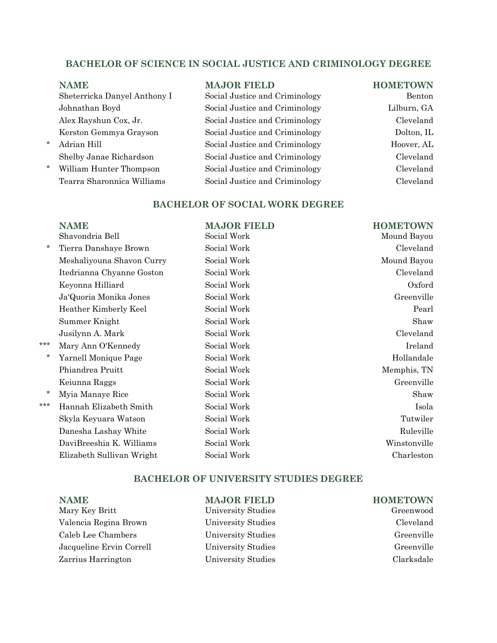# **BACHELOR OF SCIENCE IN SOCIAL JUSTICE AND CRIMINOLOGY DEGREE**

Sheterricka Danyel Anthony I Social Justice and Criminology Benton Johnathan Boyd Social Justice and Criminology Lilburn, GA Alex Rayshun Cox, Jr. Social Justice and Criminology Cleveland Kerston Gemmya Grayson Social Justice and Criminology Dolton, IL \* Adrian Hill Social Justice and Criminology Hoover, AL

Shelby Janae Richardson Social Justice and Criminology Cleveland

\* William Hunter Thompson Social Justice and Criminology Cleveland Tearra Sharonnica Williams Social Justice and Criminology Cleveland

# **NAME MAJOR FIELD HOMETOWN**

### **BACHELOR OF SOCIAL WORK DEGREE**

|         | <b>NAME</b>               | <b>MAJOR FIELD</b> | <b>HOMETOWN</b> |
|---------|---------------------------|--------------------|-----------------|
|         | Shavondria Bell           | Social Work        | Mound Bayou     |
| $\star$ | Tierra Danshaye Brown     | Social Work        | Cleveland       |
|         | Meshaliyouna Shavon Curry | Social Work        | Mound Bayou     |
|         | Itedrianna Chyanne Goston | Social Work        | Cleveland       |
|         | Keyonna Hilliard          | Social Work        | Oxford          |
|         | Ja'Quoria Monika Jones    | Social Work        | Greenville      |
|         | Heather Kimberly Keel     | Social Work        | Pearl           |
|         | Summer Knight             | Social Work        | Shaw            |
|         | Jusilynn A. Mark          | Social Work        | Cleveland       |
| ***     | Mary Ann O'Kennedy        | Social Work        | Ireland         |
| $\ast$  | Yarnell Monique Page      | Social Work        | Hollandale      |
|         | Phiandrea Pruitt          | Social Work        | Memphis, TN     |
|         | Keiunna Raggs             | Social Work        | Greenville      |
|         | Myia Manaye Rice          | Social Work        | Shaw            |
| ***     | Hannah Elizabeth Smith    | Social Work        | Isola           |
|         | Skyla Keyuara Watson      | Social Work        | Tutwiler        |
|         | Danesha Lashay White      | Social Work        | Ruleville       |
|         | DaviBreeshia K. Williams  | Social Work        | Winstonville    |
|         | Elizabeth Sullivan Wright | Social Work        | Charleston      |
|         |                           |                    |                 |

# **BACHELOR OF UNIVERSITY STUDIES DEGREE**

| <b>NAME</b>              | <b>MAJOR FIELD</b> | <b>HOMETOWN</b> |
|--------------------------|--------------------|-----------------|
| Mary Key Britt           | University Studies | Greenwood       |
| Valencia Regina Brown    | University Studies | Cleveland       |
| Caleb Lee Chambers       | University Studies | Greenville      |
| Jacqueline Ervin Correll | University Studies | Greenville      |
| Zarrius Harrington       | University Studies | Clarksdale      |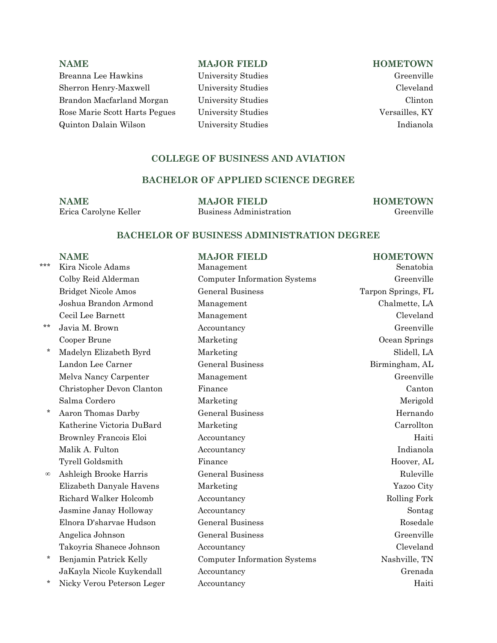**NAME MAJOR FIELD HOMETOWN** Breanna Lee Hawkins University Studies Greenville Sherron Henry-Maxwell University Studies Cleveland Brandon Macfarland Morgan University Studies Clinton Rose Marie Scott Harts Pegues University Studies Versailles, KY Quinton Dalain Wilson University Studies Indianola

# **COLLEGE OF BUSINESS AND AVIATION**

# **BACHELOR OF APPLIED SCIENCE DEGREE**

**NAME MAJOR FIELD HOMETOWN**<br>**Erica Carolyne Keller Business Administration Greenville** 

Business Administration

### **BACHELOR OF BUSINESS ADMINISTRATION DEGREE**

|          | <b>NAME</b>                | <b>MAJOR FIELD</b>                  | <b>HOMETOWN</b>    |
|----------|----------------------------|-------------------------------------|--------------------|
| ***      | Kira Nicole Adams          | Management                          | Senatobia          |
|          | Colby Reid Alderman        | <b>Computer Information Systems</b> | Greenville         |
|          | <b>Bridget Nicole Amos</b> | <b>General Business</b>             | Tarpon Springs, FL |
|          | Joshua Brandon Armond      | Management                          | Chalmette, LA      |
|          | Cecil Lee Barnett          | Management                          | Cleveland          |
| $***$    | Javia M. Brown             | Accountancy                         | Greenville         |
|          | Cooper Brune               | Marketing                           | Ocean Springs      |
| $^\star$ | Madelyn Elizabeth Byrd     | Marketing                           | Slidell, LA        |
|          | Landon Lee Carner          | <b>General Business</b>             | Birmingham, AL     |
|          | Melva Nancy Carpenter      | Management                          | Greenville         |
|          | Christopher Devon Clanton  | Finance                             | Canton             |
|          | Salma Cordero              | Marketing                           | Merigold           |
| $\ast$   | Aaron Thomas Darby         | <b>General Business</b>             | Hernando           |
|          | Katherine Victoria DuBard  | Marketing                           | Carrollton         |
|          | Brownley Francois Eloi     | Accountancy                         | Haiti              |
|          | Malik A. Fulton            | Accountancy                         | Indianola          |
|          | Tyrell Goldsmith           | Finance                             | Hoover, AL         |
| $\infty$ | Ashleigh Brooke Harris     | <b>General Business</b>             | Ruleville          |
|          | Elizabeth Danyale Havens   | Marketing                           | Yazoo City         |
|          | Richard Walker Holcomb     | Accountancy                         | Rolling Fork       |
|          | Jasmine Janay Holloway     | Accountancy                         | Sontag             |
|          | Elnora D'sharvae Hudson    | <b>General Business</b>             | Rosedale           |
|          | Angelica Johnson           | <b>General Business</b>             | Greenville         |
|          | Takoyria Shanece Johnson   | Accountancy                         | Cleveland          |
| $^\star$ | Benjamin Patrick Kelly     | <b>Computer Information Systems</b> | Nashville, TN      |
|          | JaKayla Nicole Kuykendall  | Accountancy                         | Grenada            |
| $^\star$ | Nicky Verou Peterson Leger | Accountancy                         | Haiti              |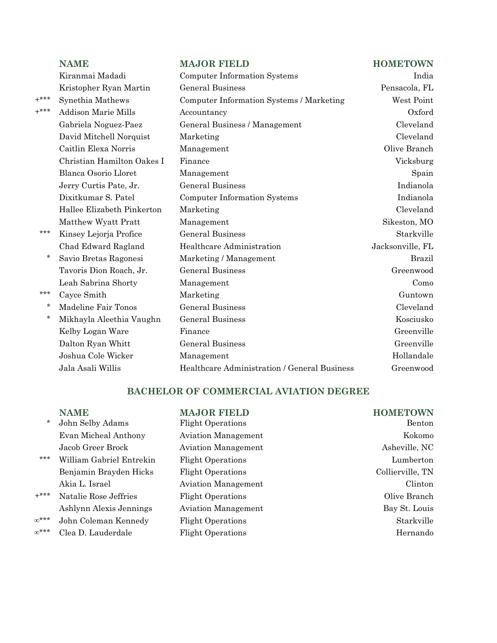|        | <b>NAME</b>                | <b>MAJOR FIELD</b>                           | <b>HOMETOWN</b>  |
|--------|----------------------------|----------------------------------------------|------------------|
|        | Kiranmai Madadi            | <b>Computer Information Systems</b>          | India            |
|        | Kristopher Ryan Martin     | <b>General Business</b>                      | Pensacola, FL    |
| $+***$ | Synethia Mathews           | Computer Information Systems / Marketing     | West Point       |
| $+***$ | <b>Addison Marie Mills</b> | Accountancy                                  | Oxford           |
|        | Gabriela Noguez-Paez       | General Business / Management                | Cleveland        |
|        | David Mitchell Norquist    | Marketing                                    | Cleveland        |
|        | Caitlin Elexa Norris       | Management                                   | Olive Branch     |
|        | Christian Hamilton Oakes I | Finance                                      | Vicksburg        |
|        | Blanca Osorio Lloret       | Management                                   | Spain            |
|        | Jerry Curtis Pate, Jr.     | <b>General Business</b>                      | Indianola        |
|        | Dixitkumar S. Patel        | Computer Information Systems                 | Indianola        |
|        | Hallee Elizabeth Pinkerton | Marketing                                    | Cleveland        |
|        | Matthew Wyatt Pratt        | Management                                   | Sikeston, MO     |
| ***    | Kinsey Lejorja Profice     | <b>General Business</b>                      | Starkville       |
|        | Chad Edward Ragland        | Healthcare Administration                    | Jacksonville, FL |
| $\ast$ | Savio Bretas Ragonesi      | Marketing / Management                       | <b>Brazil</b>    |
|        | Tavoris Dion Roach, Jr.    | <b>General Business</b>                      | Greenwood        |
|        | Leah Sabrina Shorty        | Management                                   | Como             |
| ***    | Cayce Smith                | Marketing                                    | Guntown          |
| $\ast$ | Madeline Fair Tonos        | <b>General Business</b>                      | Cleveland        |
| $\ast$ | Mikhayla Aleethia Vaughn   | <b>General Business</b>                      | Kosciusko        |
|        | Kelby Logan Ware           | Finance                                      | Greenville       |
|        | Dalton Ryan Whitt          | <b>General Business</b>                      | Greenville       |
|        | Joshua Cole Wicker         | Management                                   | Hollandale       |
|        | Jala Asali Willis          | Healthcare Administration / General Business | Greenwood        |

# **BACHELOR OF COMMERCIAL AVIATION DEGREE**

|              | <b>NAME</b>              | <b>MAJOR FIELD</b>         | <b>HOMETOWN</b>  |
|--------------|--------------------------|----------------------------|------------------|
| $\star$      | John Selby Adams         | <b>Flight Operations</b>   | Benton           |
|              | Evan Micheal Anthony     | <b>Aviation Management</b> | Kokomo           |
|              | Jacob Greer Brock        | <b>Aviation Management</b> | Asheville, NC    |
| ***          | William Gabriel Entrekin | <b>Flight Operations</b>   | Lumberton        |
|              | Benjamin Brayden Hicks   | <b>Flight Operations</b>   | Collierville, TN |
|              | Akia L. Israel           | <b>Aviation Management</b> | Clinton          |
| $+***$       | Natalie Rose Jeffries    | <b>Flight Operations</b>   | Olive Branch     |
|              | Ashlynn Alexis Jennings  | <b>Aviation Management</b> | Bay St. Louis    |
| $\infty$ *** | John Coleman Kennedy     | <b>Flight Operations</b>   | Starkville       |
| $x^{***}$    | Clea D. Lauderdale       | <b>Flight Operations</b>   | Hernando         |
|              |                          |                            |                  |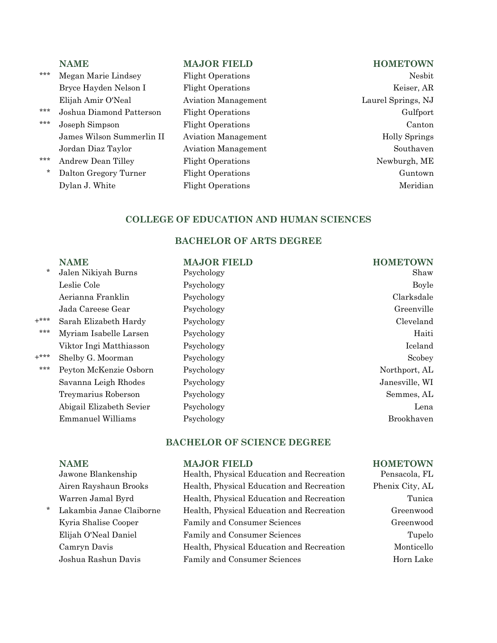|         | <b>NAME</b>               | <b>MAJOR FIELD</b>         | <b>HOMETOWN</b>      |
|---------|---------------------------|----------------------------|----------------------|
| ***     | Megan Marie Lindsey       | <b>Flight Operations</b>   | Nesbit               |
|         | Bryce Hayden Nelson I     | <b>Flight Operations</b>   | Keiser, AR           |
|         | Elijah Amir O'Neal        | <b>Aviation Management</b> | Laurel Springs, NJ   |
| ***     | Joshua Diamond Patterson  | <b>Flight Operations</b>   | Gulfport             |
| ***     | Joseph Simpson            | <b>Flight Operations</b>   | Canton               |
|         | James Wilson Summerlin II | <b>Aviation Management</b> | <b>Holly Springs</b> |
|         | Jordan Diaz Taylor        | <b>Aviation Management</b> | Southaven            |
| ***     | Andrew Dean Tilley        | <b>Flight Operations</b>   | Newburgh, ME         |
| $\star$ | Dalton Gregory Turner     | <b>Flight Operations</b>   | Guntown              |
|         | Dylan J. White            | <b>Flight Operations</b>   | Meridian             |
|         |                           |                            |                      |

# **COLLEGE OF EDUCATION AND HUMAN SCIENCES**

# **BACHELOR OF ARTS DEGREE**

|        | <b>NAME</b>              | <b>MAJOR FIELD</b> | <b>HOMETOWN</b> |
|--------|--------------------------|--------------------|-----------------|
| $\ast$ | Jalen Nikiyah Burns      | Psychology         | Shaw            |
|        | Leslie Cole              | Psychology         | Boyle           |
|        | Aerianna Franklin        | Psychology         | Clarksdale      |
|        | Jada Careese Gear        | Psychology         | Greenville      |
| $+***$ | Sarah Elizabeth Hardy    | Psychology         | Cleveland       |
| $***$  | Myriam Isabelle Larsen   | Psychology         | Haiti           |
|        | Viktor Ingi Matthiasson  | Psychology         | Iceland         |
| $+***$ | Shelby G. Moorman        | Psychology         | Scobey          |
| ***    | Peyton McKenzie Osborn   | Psychology         | Northport, AL   |
|        | Savanna Leigh Rhodes     | Psychology         | Janesville, WI  |
|        | Treymarius Roberson      | Psychology         | Semmes, AL      |
|        | Abigail Elizabeth Sevier | Psychology         | Lena            |
|        | <b>Emmanuel Williams</b> | Psychology         | Brookhaven      |
|        |                          |                    |                 |

# **BACHELOR OF SCIENCE DEGREE**

## **NAME MAJOR FIELD HOMETOWN**

| Jawone Blankenship       | Health, Physical Education and Recreation | Pensacola, FL   |
|--------------------------|-------------------------------------------|-----------------|
| Airen Rayshaun Brooks    | Health, Physical Education and Recreation | Phenix City, AL |
| Warren Jamal Byrd        | Health, Physical Education and Recreation | Tunica          |
| Lakambia Janae Claiborne | Health, Physical Education and Recreation | Greenwood       |
| Kyria Shalise Cooper     | Family and Consumer Sciences              | Greenwood       |
| Elijah O'Neal Daniel     | Family and Consumer Sciences              | Tupelo          |
| Camryn Davis             | Health, Physical Education and Recreation | Monticello      |
| Joshua Rashun Davis      | Family and Consumer Sciences              | Horn Lake       |
|                          |                                           |                 |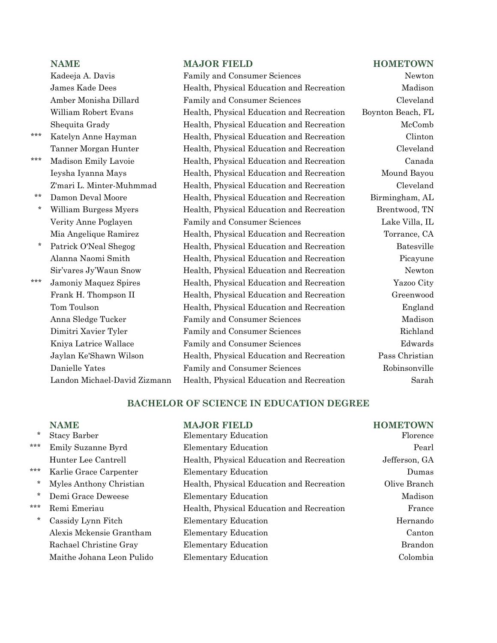- 
- 
- 
- 
- 

# **NAME MAJOR FIELD HOMETOWN**

|              | Kadeeja A. Davis             | Family and Consumer Sciences              | Newton            |
|--------------|------------------------------|-------------------------------------------|-------------------|
|              | James Kade Dees              | Health, Physical Education and Recreation | Madison           |
|              | Amber Monisha Dillard        | Family and Consumer Sciences              | Cleveland         |
|              | William Robert Evans         | Health, Physical Education and Recreation | Boynton Beach, FL |
|              | Shequita Grady               | Health, Physical Education and Recreation | McComb            |
| $***$        | Katelyn Anne Hayman          | Health, Physical Education and Recreation | Clinton           |
|              | Tanner Morgan Hunter         | Health, Physical Education and Recreation | Cleveland         |
| ***          | Madison Emily Lavoie         | Health, Physical Education and Recreation | Canada            |
|              | Ieysha Iyanna Mays           | Health, Physical Education and Recreation | Mound Bayou       |
|              | Z'mari L. Minter-Muhmmad     | Health, Physical Education and Recreation | Cleveland         |
| $\star\star$ | Damon Deval Moore            | Health, Physical Education and Recreation | Birmingham, AL    |
| $\star$      | William Burgess Myers        | Health, Physical Education and Recreation | Brentwood, TN     |
|              | Verity Anne Poglayen         | Family and Consumer Sciences              | Lake Villa, IL    |
|              | Mia Angelique Ramirez        | Health, Physical Education and Recreation | Torrance, CA      |
| $\ast$       | Patrick O'Neal Shegog        | Health, Physical Education and Recreation | Batesville        |
|              | Alanna Naomi Smith           | Health, Physical Education and Recreation | Picayune          |
|              | Sir'vares Jy'Waun Snow       | Health, Physical Education and Recreation | Newton            |
| $***$        | Jamoniy Maquez Spires        | Health, Physical Education and Recreation | Yazoo City        |
|              | Frank H. Thompson II         | Health, Physical Education and Recreation | Greenwood         |
|              | Tom Toulson                  | Health, Physical Education and Recreation | England           |
|              | Anna Sledge Tucker           | Family and Consumer Sciences              | Madison           |
|              | Dimitri Xavier Tyler         | Family and Consumer Sciences              | Richland          |
|              | Kniya Latrice Wallace        | Family and Consumer Sciences              | Edwards           |
|              | Jaylan Ke'Shawn Wilson       | Health, Physical Education and Recreation | Pass Christian    |
|              | Danielle Yates               | Family and Consumer Sciences              | Robinsonville     |
|              | Landon Michael-David Zizmann | Health, Physical Education and Recreation | Sarah             |

# **BACHELOR OF SCIENCE IN EDUCATION DEGREE**

| $\ast$  | <b>NAME</b><br>Stacy Barber | <b>MAJOR FIELD</b><br><b>Elementary Education</b> | <b>HOMETOWN</b><br>Florence |
|---------|-----------------------------|---------------------------------------------------|-----------------------------|
| ***     | Emily Suzanne Byrd          | <b>Elementary Education</b>                       | Pearl                       |
|         | Hunter Lee Cantrell         | Health, Physical Education and Recreation         | Jefferson, GA               |
| ***     | Karlie Grace Carpenter      | <b>Elementary Education</b>                       | Dumas                       |
| $\ast$  | Myles Anthony Christian     | Health, Physical Education and Recreation         | Olive Branch                |
| $\star$ | Demi Grace Deweese          | <b>Elementary Education</b>                       | Madison                     |
| ***     | Remi Emeriau                | Health, Physical Education and Recreation         | France                      |
| $\ast$  | Cassidy Lynn Fitch          | Elementary Education                              | Hernando                    |
|         | Alexis Mckensie Grantham    | <b>Elementary Education</b>                       | Canton                      |
|         | Rachael Christine Gray      | <b>Elementary Education</b>                       | <b>Brandon</b>              |
|         | Maithe Johana Leon Pulido   | <b>Elementary Education</b>                       | Colombia                    |
|         |                             |                                                   |                             |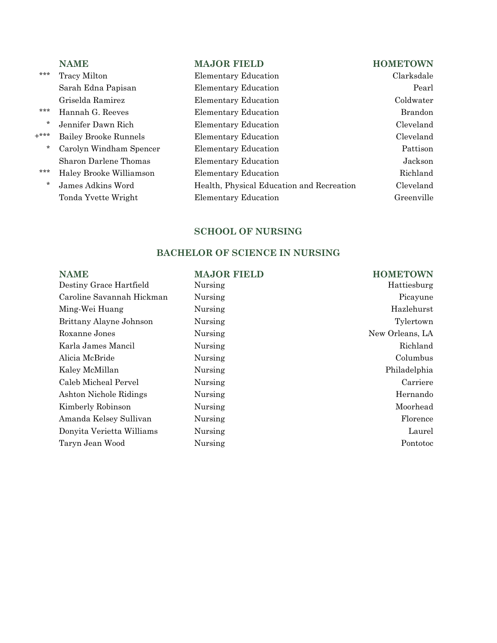| ***     | Tracy Milton            |
|---------|-------------------------|
|         | Sarah Edna Papisan      |
|         | Griselda Ramirez        |
| ***     | Hannah G. Reeves        |
| $\star$ | Jennifer Dawn Rich      |
| $* * *$ | Bailey Brooke Runnels   |
| $\star$ | Carolyn Windham Spencer |
|         | Sharon Darlene Thomas   |
| ***     | Haley Brooke Williamson |
| $\star$ | James Adkins Word       |
|         | Tonda Yvette Wright     |

# **NAME MAJOR FIELD HOMETOWN**

\*\* Transfer Education Clarksdale Elementary Education Pearl Elementary Education Coldwater \*\* Elementary Education Brandon \* Elementary Education Cleveland +\*\*\* Bailey Brooke Runnels Elementary Education Cleveland \* Elementary Education Pattison Elementary Education Jackson \*\* Elementary Education Richland Health, Physical Education and Recreation Cleveland Elementary Education Greenville

### **SCHOOL OF NURSING**

# **BACHELOR OF SCIENCE IN NURSING**

| <b>NAME</b>               | <b>MAJOR FIELD</b> | <b>HOMETOWN</b> |
|---------------------------|--------------------|-----------------|
| Destiny Grace Hartfield   | Nursing            | Hattiesburg     |
| Caroline Savannah Hickman | Nursing            | Picayune        |
| Ming-Wei Huang            | Nursing            | Hazlehurst      |
| Brittany Alayne Johnson   | Nursing            | Tylertown       |
| Roxanne Jones             | Nursing            | New Orleans, LA |
| Karla James Mancil        | Nursing            | Richland        |
| Alicia McBride            | Nursing            | Columbus        |
| Kaley McMillan            | Nursing            | Philadelphia    |
| Caleb Micheal Pervel      | Nursing            | Carriere        |
| Ashton Nichole Ridings    | Nursing            | Hernando        |
| Kimberly Robinson         | Nursing            | Moorhead        |
| Amanda Kelsey Sullivan    | Nursing            | Florence        |
| Donyita Verietta Williams | Nursing            | Laurel          |
| Taryn Jean Wood           | Nursing            | Pontotoc        |
|                           |                    |                 |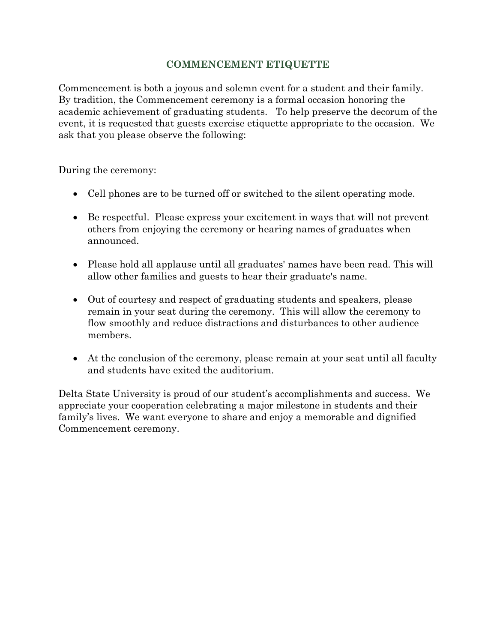# **COMMENCEMENT ETIQUETTE**

Commencement is both a joyous and solemn event for a student and their family. By tradition, the Commencement ceremony is a formal occasion honoring the academic achievement of graduating students. To help preserve the decorum of the event, it is requested that guests exercise etiquette appropriate to the occasion. We ask that you please observe the following:

During the ceremony:

- Cell phones are to be turned off or switched to the silent operating mode.
- Be respectful. Please express your excitement in ways that will not prevent others from enjoying the ceremony or hearing names of graduates when announced.
- Please hold all applause until all graduates' names have been read. This will allow other families and guests to hear their graduate's name.
- Out of courtesy and respect of graduating students and speakers, please remain in your seat during the ceremony. This will allow the ceremony to flow smoothly and reduce distractions and disturbances to other audience members.
- At the conclusion of the ceremony, please remain at your seat until all faculty and students have exited the auditorium.

Delta State University is proud of our student's accomplishments and success. We appreciate your cooperation celebrating a major milestone in students and their family's lives. We want everyone to share and enjoy a memorable and dignified Commencement ceremony.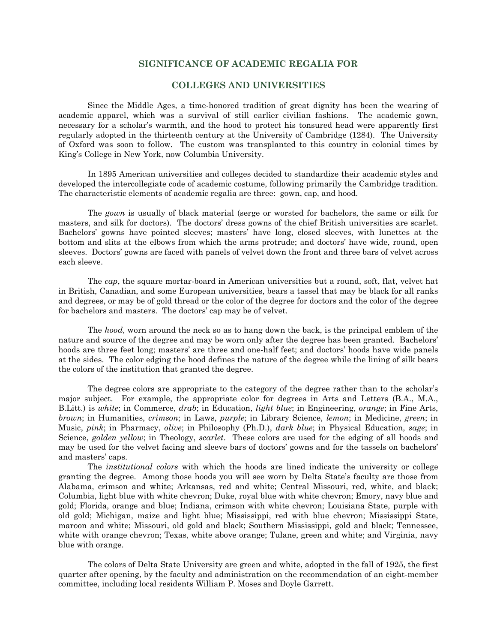### **SIGNIFICANCE OF ACADEMIC REGALIA FOR**

### **COLLEGES AND UNIVERSITIES**

Since the Middle Ages, a time-honored tradition of great dignity has been the wearing of academic apparel, which was a survival of still earlier civilian fashions. The academic gown, necessary for a scholar's warmth, and the hood to protect his tonsured head were apparently first regularly adopted in the thirteenth century at the University of Cambridge (1284). The University of Oxford was soon to follow. The custom was transplanted to this country in colonial times by King's College in New York, now Columbia University.

In 1895 American universities and colleges decided to standardize their academic styles and developed the intercollegiate code of academic costume, following primarily the Cambridge tradition. The characteristic elements of academic regalia are three: gown, cap, and hood.

The *gown* is usually of black material (serge or worsted for bachelors, the same or silk for masters, and silk for doctors). The doctors' dress gowns of the chief British universities are scarlet. Bachelors' gowns have pointed sleeves; masters' have long, closed sleeves, with lunettes at the bottom and slits at the elbows from which the arms protrude; and doctors' have wide, round, open sleeves. Doctors' gowns are faced with panels of velvet down the front and three bars of velvet across each sleeve.

The *cap*, the square mortar-board in American universities but a round, soft, flat, velvet hat in British, Canadian, and some European universities, bears a tassel that may be black for all ranks and degrees, or may be of gold thread or the color of the degree for doctors and the color of the degree for bachelors and masters. The doctors' cap may be of velvet.

The *hood*, worn around the neck so as to hang down the back, is the principal emblem of the nature and source of the degree and may be worn only after the degree has been granted. Bachelors' hoods are three feet long; masters' are three and one-half feet; and doctors' hoods have wide panels at the sides. The color edging the hood defines the nature of the degree while the lining of silk bears the colors of the institution that granted the degree.

The degree colors are appropriate to the category of the degree rather than to the scholar's major subject. For example, the appropriate color for degrees in Arts and Letters (B.A., M.A., B.Litt.) is *white*; in Commerce, *drab*; in Education, *light blue*; in Engineering, *orange*; in Fine Arts, *brown*; in Humanities, *crimson*; in Laws, *purple*; in Library Science, *lemon*; in Medicine, *green*; in Music, *pink*; in Pharmacy, *olive*; in Philosophy (Ph.D.), *dark blue*; in Physical Education, *sage*; in Science, *golden yellow*; in Theology, *scarlet*. These colors are used for the edging of all hoods and may be used for the velvet facing and sleeve bars of doctors' gowns and for the tassels on bachelors' and masters' caps.

The *institutional colors* with which the hoods are lined indicate the university or college granting the degree. Among those hoods you will see worn by Delta State's faculty are those from Alabama, crimson and white; Arkansas, red and white; Central Missouri, red, white, and black; Columbia, light blue with white chevron; Duke, royal blue with white chevron; Emory, navy blue and gold; Florida, orange and blue; Indiana, crimson with white chevron; Louisiana State, purple with old gold; Michigan, maize and light blue; Mississippi, red with blue chevron; Mississippi State, maroon and white; Missouri, old gold and black; Southern Mississippi, gold and black; Tennessee, white with orange chevron; Texas, white above orange; Tulane, green and white; and Virginia, navy blue with orange.

The colors of Delta State University are green and white, adopted in the fall of 1925, the first quarter after opening, by the faculty and administration on the recommendation of an eight-member committee, including local residents William P. Moses and Doyle Garrett.